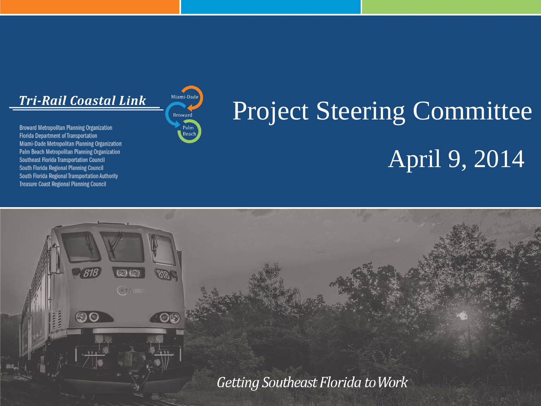**Broward Metropolitan Planning Organization Florida Department of Transportation** Miami-Dade Metropolitan Planning Organization Palm Beach Metropolitan Planning Organization **Southeast Florida Transportation Council** South Florida Regional Planning Council South Florida Regional Transportation Authority **Treasure Coast Regional Planning Council** 



# April 9, 2014 Project Steering Committee

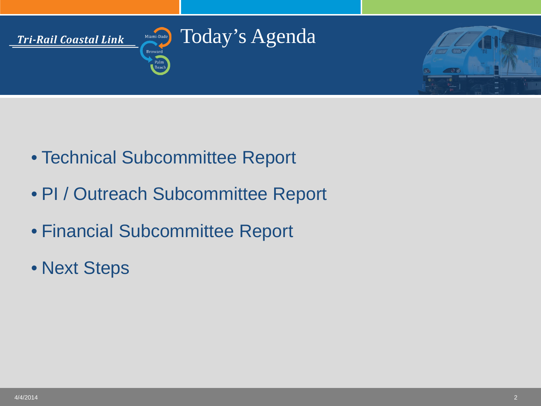

- Technical Subcommittee Report
- PI / Outreach Subcommittee Report
- Financial Subcommittee Report
- Next Steps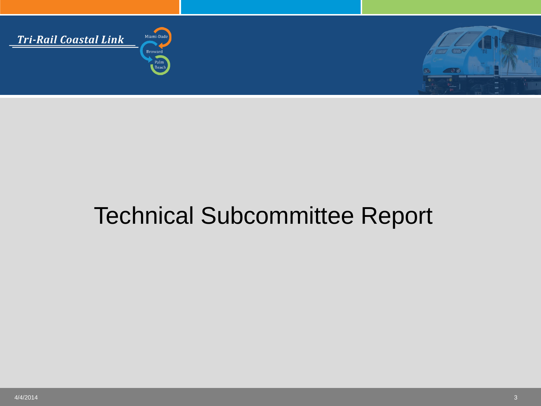



# Technical Subcommittee Report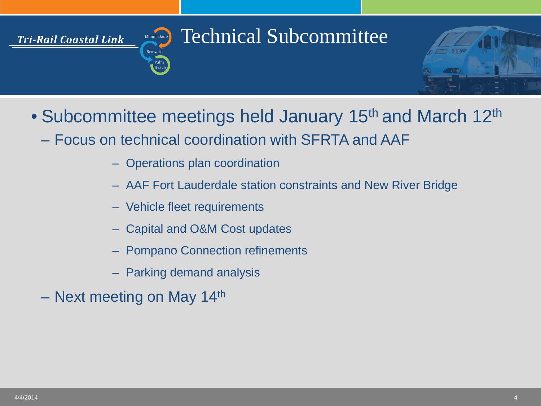#### Technical Subcommittee Miami-Dade



- Subcommittee meetings held January 15<sup>th</sup> and March 12<sup>th</sup>
	- Focus on technical coordination with SFRTA and AAF
		- Operations plan coordination

**Broward** 

- AAF Fort Lauderdale station constraints and New River Bridge
- Vehicle fleet requirements
- Capital and O&M Cost updates
- Pompano Connection refinements
- Parking demand analysis
- Next meeting on May  $14<sup>th</sup>$

Tri-Rail Coastal Link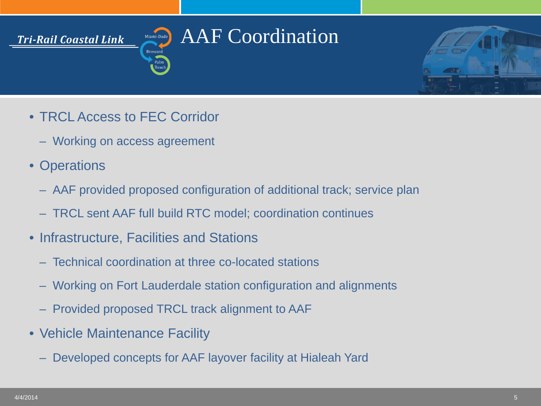#### AAF Coordination Miami-Dade Broward



- TRCL Access to FEC Corridor
	- Working on access agreement
- Operations

Tri-Rail Coastal Link

- AAF provided proposed configuration of additional track; service plan
- TRCL sent AAF full build RTC model; coordination continues
- Infrastructure, Facilities and Stations
	- Technical coordination at three co-located stations
	- Working on Fort Lauderdale station configuration and alignments
	- Provided proposed TRCL track alignment to AAF
- Vehicle Maintenance Facility
	- Developed concepts for AAF layover facility at Hialeah Yard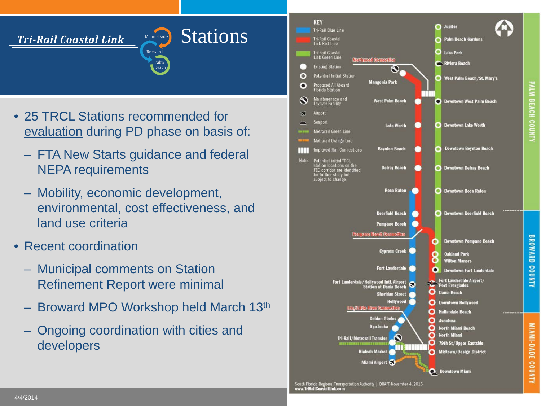

**Beach** 

- 25 TRCL Stations recommended for evaluation during PD phase on basis of:
	- FTA New Starts guidance and federal NEPA requirements
	- Mobility, economic development, environmental, cost effectiveness, and land use criteria
- Recent coordination
	- Municipal comments on Station Refinement Report were minimal
	- Broward MPO Workshop held March 13th
	- Ongoing coordination with cities and developers



# PALM BEACH COUN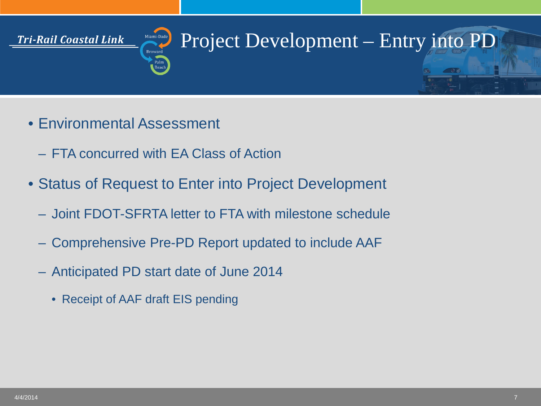### Project Development – Entry into PD Tri-Rail Coastal Link Miami-Dad

- Environmental Assessment
	- FTA concurred with EA Class of Action
- Status of Request to Enter into Project Development
	- Joint FDOT-SFRTA letter to FTA with milestone schedule
	- Comprehensive Pre-PD Report updated to include AAF
	- Anticipated PD start date of June 2014
		- Receipt of AAF draft EIS pending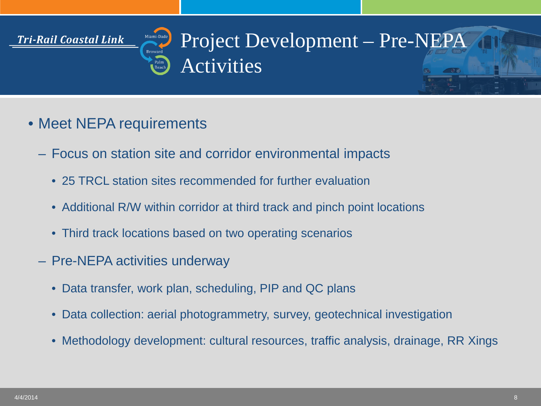#### Project Development – Pre-NEPA Tri-Rail Coastal Link **Broward** Activities

- Meet NEPA requirements
	- Focus on station site and corridor environmental impacts
		- 25 TRCL station sites recommended for further evaluation
		- Additional R/W within corridor at third track and pinch point locations
		- Third track locations based on two operating scenarios
	- Pre-NEPA activities underway
		- Data transfer, work plan, scheduling, PIP and QC plans
		- Data collection: aerial photogrammetry, survey, geotechnical investigation
		- Methodology development: cultural resources, traffic analysis, drainage, RR Xings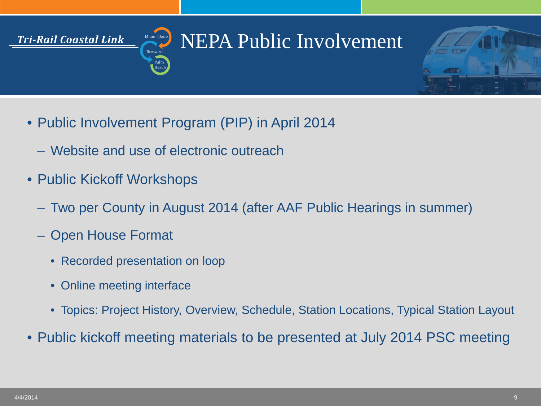#### Miami-Dade NEPA Public Involvement

- Public Involvement Program (PIP) in April 2014
	- Website and use of electronic outreach

**Broward** 

• Public Kickoff Workshops

Tri-Rail Coastal Link

- Two per County in August 2014 (after AAF Public Hearings in summer)
- Open House Format
	- Recorded presentation on loop
	- Online meeting interface
	- Topics: Project History, Overview, Schedule, Station Locations, Typical Station Layout
- Public kickoff meeting materials to be presented at July 2014 PSC meeting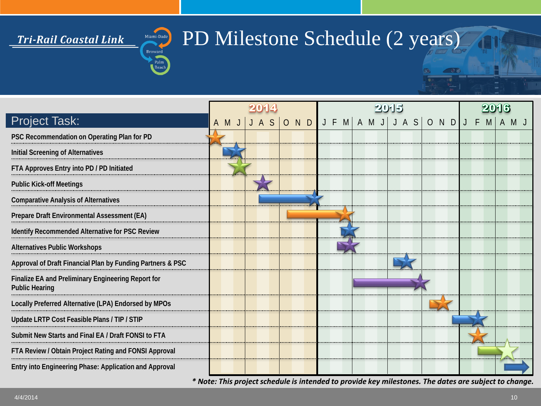Miami-Dade

Beach

# PD Milestone Schedule (2 years)

|                                                                             |       |  |       |                | 2015 |  |  |  |  |  |  |  |  |  |                    |  |  |     |  |
|-----------------------------------------------------------------------------|-------|--|-------|----------------|------|--|--|--|--|--|--|--|--|--|--------------------|--|--|-----|--|
| <b>Project Task:</b>                                                        | A M J |  | J A S | $\overline{O}$ |      |  |  |  |  |  |  |  |  |  | NDJFMAMJJJASONDJFM |  |  | A M |  |
| PSC Recommendation on Operating Plan for PD                                 |       |  |       |                |      |  |  |  |  |  |  |  |  |  |                    |  |  |     |  |
| <b>Initial Screening of Alternatives</b>                                    |       |  |       |                |      |  |  |  |  |  |  |  |  |  |                    |  |  |     |  |
| FTA Approves Entry into PD / PD Initiated                                   |       |  |       |                |      |  |  |  |  |  |  |  |  |  |                    |  |  |     |  |
| <b>Public Kick-off Meetings</b>                                             |       |  |       |                |      |  |  |  |  |  |  |  |  |  |                    |  |  |     |  |
| Comparative Analysis of Alternatives                                        |       |  |       |                |      |  |  |  |  |  |  |  |  |  |                    |  |  |     |  |
| Prepare Draft Environmental Assessment (EA)                                 |       |  |       |                |      |  |  |  |  |  |  |  |  |  |                    |  |  |     |  |
| Identify Recommended Alternative for PSC Review                             |       |  |       |                |      |  |  |  |  |  |  |  |  |  |                    |  |  |     |  |
| <b>Alternatives Public Workshops</b>                                        |       |  |       |                |      |  |  |  |  |  |  |  |  |  |                    |  |  |     |  |
| Approval of Draft Financial Plan by Funding Partners & PSC                  |       |  |       |                |      |  |  |  |  |  |  |  |  |  |                    |  |  |     |  |
| Finalize EA and Preliminary Engineering Report for<br><b>Public Hearing</b> |       |  |       |                |      |  |  |  |  |  |  |  |  |  |                    |  |  |     |  |
| Locally Preferred Alternative (LPA) Endorsed by MPOs                        |       |  |       |                |      |  |  |  |  |  |  |  |  |  |                    |  |  |     |  |
| Update LRTP Cost Feasible Plans / TIP / STIP                                |       |  |       |                |      |  |  |  |  |  |  |  |  |  |                    |  |  |     |  |
| Submit New Starts and Final EA / Draft FONSI to FTA                         |       |  |       |                |      |  |  |  |  |  |  |  |  |  |                    |  |  |     |  |
| FTA Review / Obtain Project Rating and FONSI Approval                       |       |  |       |                |      |  |  |  |  |  |  |  |  |  |                    |  |  |     |  |
| Entry into Engineering Phase: Application and Approval                      |       |  |       |                |      |  |  |  |  |  |  |  |  |  |                    |  |  |     |  |

*\* Note: This project schedule is intended to provide key milestones. The dates are subject to change.*

 $\circ$   $\circ$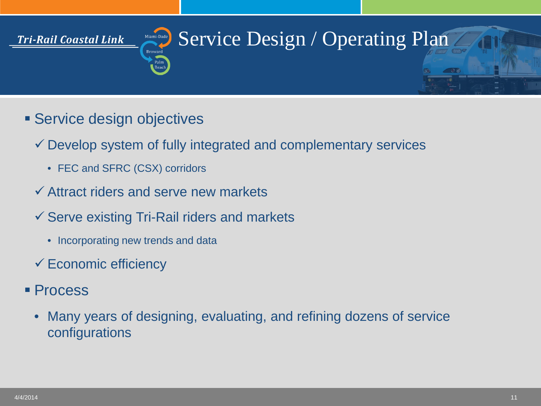# Service Design / Operating Plan

**Service design objectives** 

Tri-Rail Coastal Link

- $\checkmark$  Develop system of fully integrated and complementary services
	- FEC and SFRC (CSX) corridors
- $\checkmark$  Attract riders and serve new markets
- $\checkmark$  Serve existing Tri-Rail riders and markets
	- Incorporating new trends and data
- $\checkmark$  Economic efficiency
- Process
	- Many years of designing, evaluating, and refining dozens of service configurations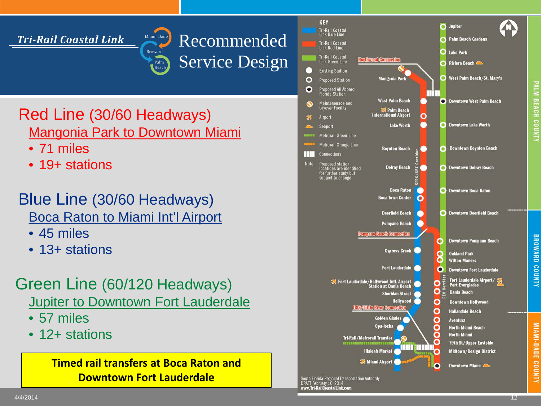

#### Red Line (30/60 Headways) Mangonia Park to Downtown Miami

- 71 miles
- 19+ stations

#### Blue Line (30/60 Headways) Boca Raton to Miami Int'l Airport

- 45 miles
- 13+ stations

### Green Line (60/120 Headways)

- Jupiter to Downtown Fort Lauderdale
- 57 miles
- 12+ stations

**Timed rail transfers at Boca Raton and Downtown Fort Lauderdale**

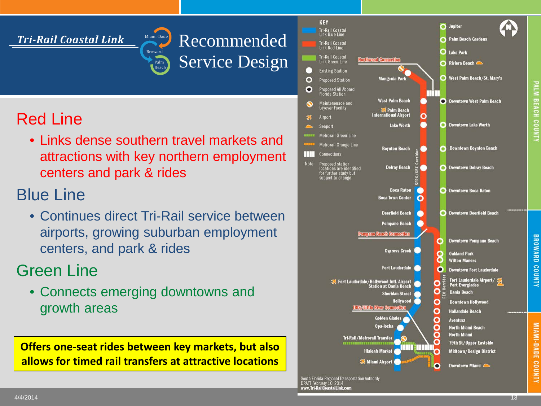

### Red Line

• Links dense southern travel markets and attractions with key northern employment centers and park & rides

### Blue Line

• Continues direct Tri-Rail service between airports, growing suburban employment centers, and park & rides

### Green Line

• Connects emerging downtowns and growth areas

**Offers one-seat rides between key markets, but also allows for timed rail transfers at attractive locations**

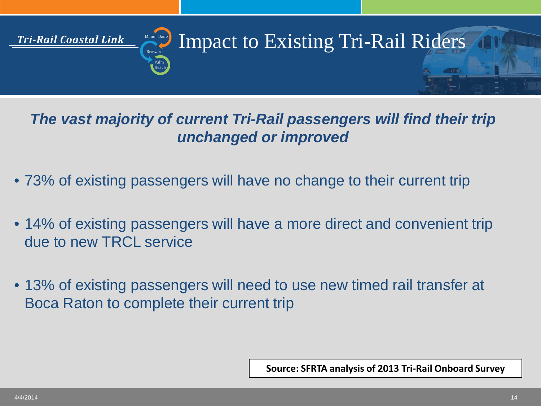

### *The vast majority of current Tri-Rail passengers will find their trip unchanged or improved*

- 73% of existing passengers will have no change to their current trip
- 14% of existing passengers will have a more direct and convenient trip due to new TRCL service
- 13% of existing passengers will need to use new timed rail transfer at Boca Raton to complete their current trip

**Source: SFRTA analysis of 2013 Tri-Rail Onboard Survey**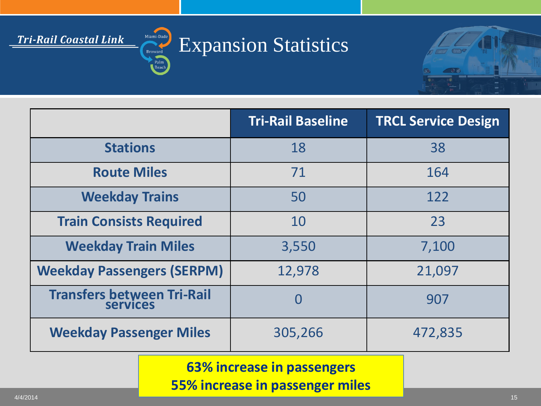

# Expansion Statistics



|                                                      | <b>Tri-Rail Baseline</b> | <b>TRCL Service Design</b> |
|------------------------------------------------------|--------------------------|----------------------------|
| <b>Stations</b>                                      | 18                       | 38                         |
| <b>Route Miles</b>                                   | 71                       | 164                        |
| <b>Weekday Trains</b>                                | 50                       | 122                        |
| <b>Train Consists Required</b>                       | 10                       | 23                         |
| <b>Weekday Train Miles</b>                           | 3,550                    | 7,100                      |
| <b>Weekday Passengers (SERPM)</b>                    | 12,978                   | 21,097                     |
| <b>Transfers between Tri-Rail</b><br><b>Services</b> | $\Omega$                 | 907                        |
| <b>Weekday Passenger Miles</b>                       | 305,266                  | 472,835                    |

#### **63% increase in passengers**

**55% increase in passenger miles**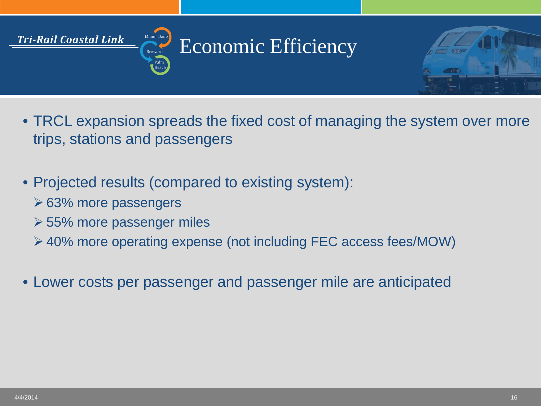#### Miami-Dade Economic Efficiency **Broward**



- TRCL expansion spreads the fixed cost of managing the system over more trips, stations and passengers
- Projected results (compared to existing system):
	- 63% more passengers

Tri-Rail Coastal Link

- 55% more passenger miles
- 40% more operating expense (not including FEC access fees/MOW)
- Lower costs per passenger and passenger mile are anticipated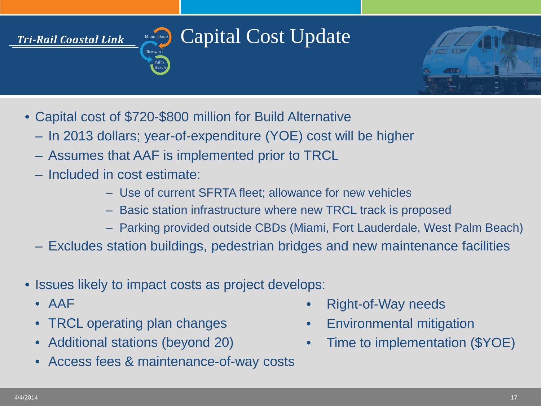# Capital Cost Update



• Capital cost of \$720-\$800 million for Build Alternative

**Broward** 

- In 2013 dollars; year-of-expenditure (YOE) cost will be higher
- Assumes that AAF is implemented prior to TRCL
- Included in cost estimate:
	- Use of current SFRTA fleet; allowance for new vehicles
	- Basic station infrastructure where new TRCL track is proposed
	- Parking provided outside CBDs (Miami, Fort Lauderdale, West Palm Beach)
- Excludes station buildings, pedestrian bridges and new maintenance facilities
- Issues likely to impact costs as project develops:
	- AAF

Tri-Rail Coastal Link

- TRCL operating plan changes
- Additional stations (beyond 20)
- Access fees & maintenance-of-way costs
- Right-of-Way needs
- Environmental mitigation
- Time to implementation (\$YOE)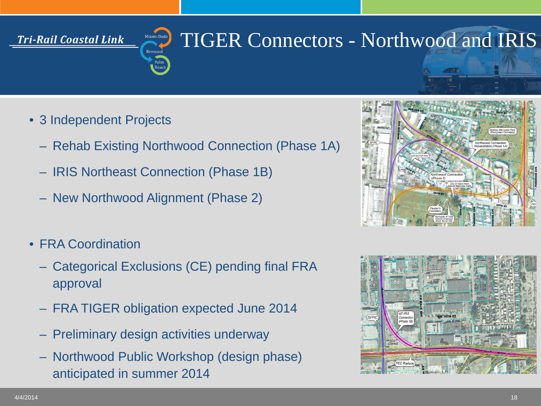# TIGER Connectors - Northwood and IRIS

- 3 Independent Projects
	- Rehab Existing Northwood Connection (Phase 1A)
	- IRIS Northeast Connection (Phase 1B)

**Broward** 

- New Northwood Alignment (Phase 2)
- FRA Coordination
	- Categorical Exclusions (CE) pending final FRA approval
	- FRA TIGER obligation expected June 2014
	- Preliminary design activities underway
	- Northwood Public Workshop (design phase) anticipated in summer 2014



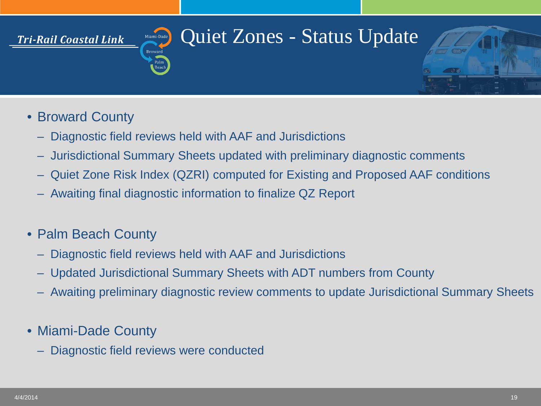# Quiet Zones - Status Update

• Broward County

Tri-Rail Coastal Link

– Diagnostic field reviews held with AAF and Jurisdictions

Miami-Dade

**Broward** 

- Jurisdictional Summary Sheets updated with preliminary diagnostic comments
- Quiet Zone Risk Index (QZRI) computed for Existing and Proposed AAF conditions
- Awaiting final diagnostic information to finalize QZ Report
- Palm Beach County
	- Diagnostic field reviews held with AAF and Jurisdictions
	- Updated Jurisdictional Summary Sheets with ADT numbers from County
	- Awaiting preliminary diagnostic review comments to update Jurisdictional Summary Sheets
- Miami-Dade County
	- Diagnostic field reviews were conducted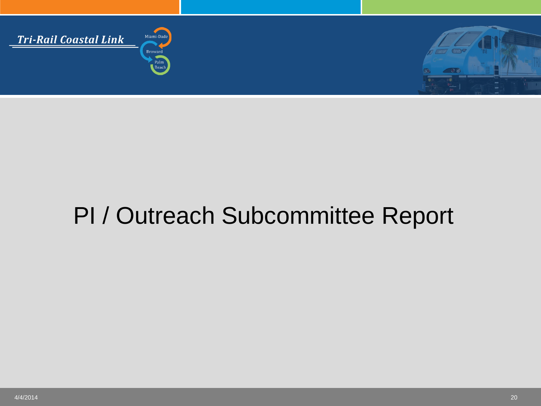



# PI / Outreach Subcommittee Report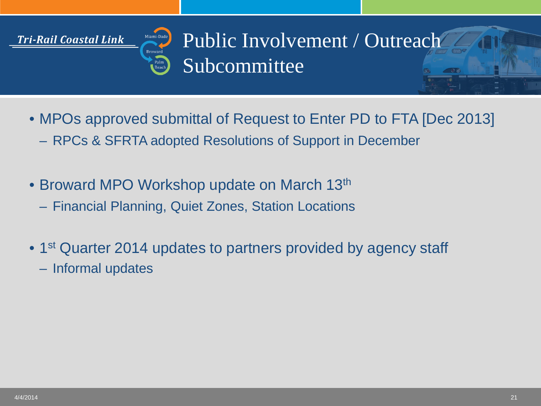Miami-Dade Public Involvement / Outreach Subcommittee

- MPOs approved submittal of Request to Enter PD to FTA [Dec 2013]
	- RPCs & SFRTA adopted Resolutions of Support in December
- Broward MPO Workshop update on March 13<sup>th</sup>

**Broward** 

- Financial Planning, Quiet Zones, Station Locations
- 1<sup>st</sup> Quarter 2014 updates to partners provided by agency staff
	- Informal updates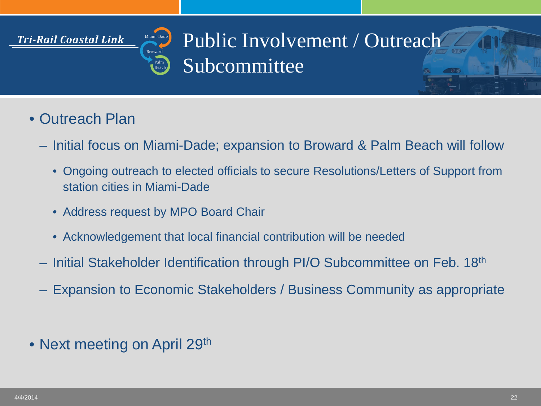Miami-Dade Public Involvement / Outreach Subcommittee

- Outreach Plan
	- Initial focus on Miami-Dade; expansion to Broward & Palm Beach will follow
		- Ongoing outreach to elected officials to secure Resolutions/Letters of Support from station cities in Miami-Dade
		- Address request by MPO Board Chair

**Broward** 

- Acknowledgement that local financial contribution will be needed
- Initial Stakeholder Identification through PI/O Subcommittee on Feb. 18th
- Expansion to Economic Stakeholders / Business Community as appropriate
- Next meeting on April 29<sup>th</sup>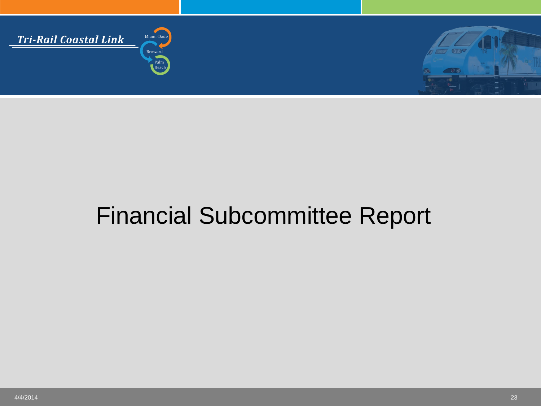





# Financial Subcommittee Report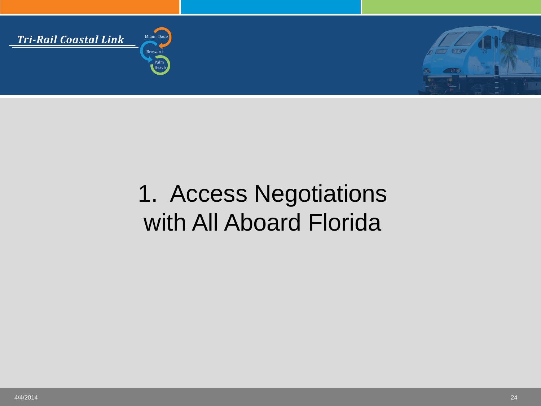

# 1. Access Negotiations with All Aboard Florida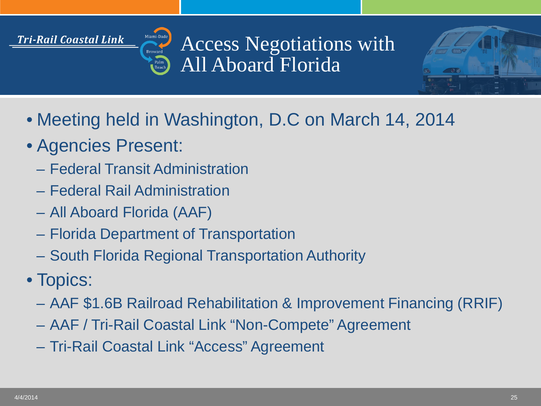Access Negotiations with All Aboard Florida



- Meeting held in Washington, D.C on March 14, 2014
- Agencies Present:
	- Federal Transit Administration

Miami-Dade

**Broward** 

- Federal Rail Administration
- All Aboard Florida (AAF)
- Florida Department of Transportation
- South Florida Regional Transportation Authority
- Topics:
	- AAF \$1.6B Railroad Rehabilitation & Improvement Financing (RRIF)
	- AAF / Tri-Rail Coastal Link "Non-Compete" Agreement
	- Tri-Rail Coastal Link "Access" Agreement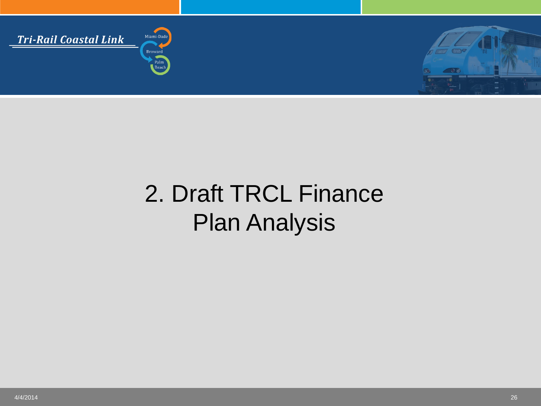

# 2. Draft TRCL Finance Plan Analysis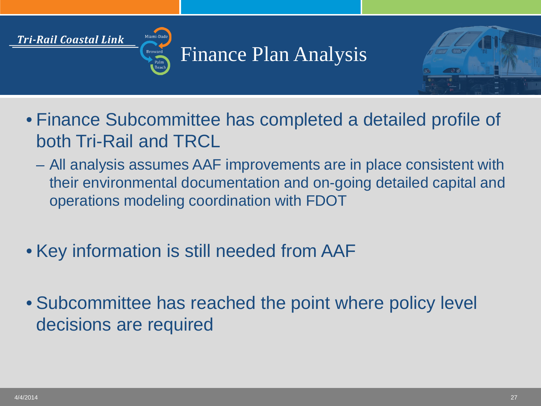# Finance Plan Analysis



- Finance Subcommittee has completed a detailed profile of both Tri-Rail and TRCL
	- All analysis assumes AAF improvements are in place consistent with their environmental documentation and on-going detailed capital and operations modeling coordination with FDOT
- Key information is still needed from AAF

Miami-Dade

Tri-Rail Coastal Link

• Subcommittee has reached the point where policy level decisions are required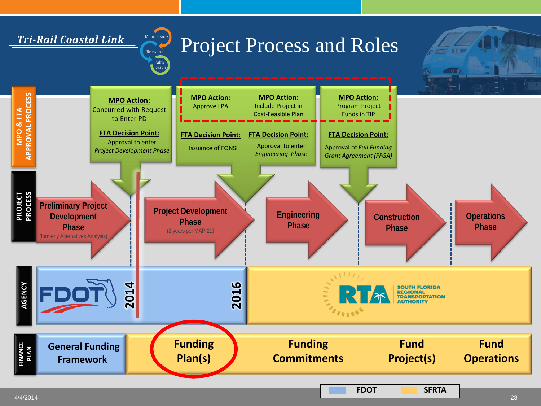Miami-Dade

### Project Process and Roles

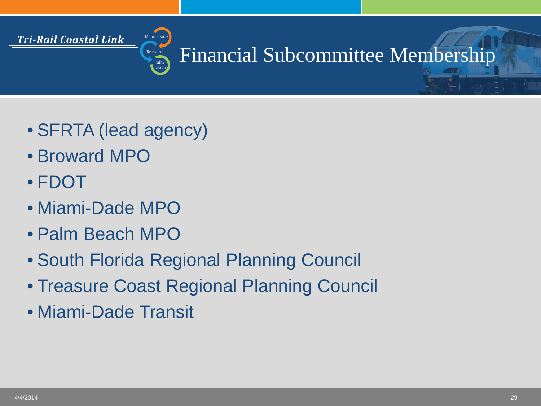

# Financial Subcommittee Membership

- SFRTA (lead agency)
- Broward MPO
- FDOT
- Miami-Dade MPO
- Palm Beach MPO
- South Florida Regional Planning Council
- Treasure Coast Regional Planning Council
- Miami-Dade Transit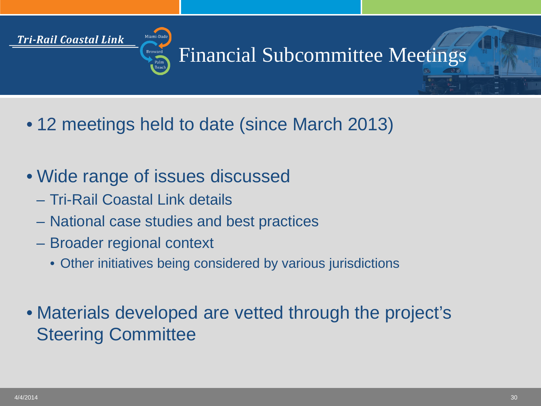# Financial Subcommittee Meetings

- 12 meetings held to date (since March 2013)
- Wide range of issues discussed

Miami-Dade

Tri-Rail Coastal Link

- Tri-Rail Coastal Link details
- National case studies and best practices
- Broader regional context
	- Other initiatives being considered by various jurisdictions
- Materials developed are vetted through the project's Steering Committee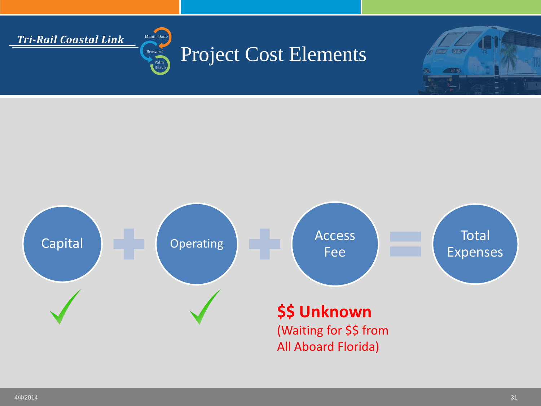

# Project Cost Elements



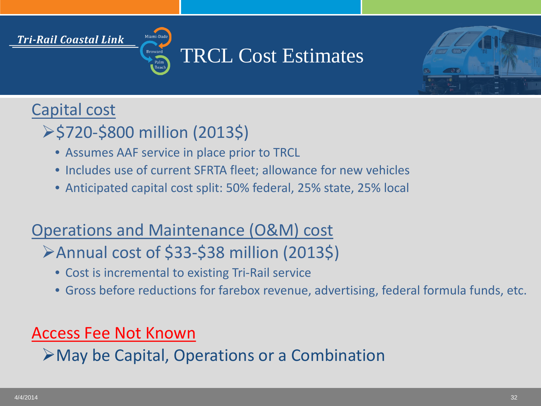# TRCL Cost Estimates



# Capital cost

\$720-\$800 million (2013\$)

Miami-Dade

- Assumes AAF service in place prior to TRCL
- Includes use of current SFRTA fleet; allowance for new vehicles
- Anticipated capital cost split: 50% federal, 25% state, 25% local

## Operations and Maintenance (O&M) cost

- Annual cost of \$33-\$38 million (2013\$)
	- Cost is incremental to existing Tri-Rail service
	- Gross before reductions for farebox revenue, advertising, federal formula funds, etc.

### Access Fee Not Known

May be Capital, Operations or a Combination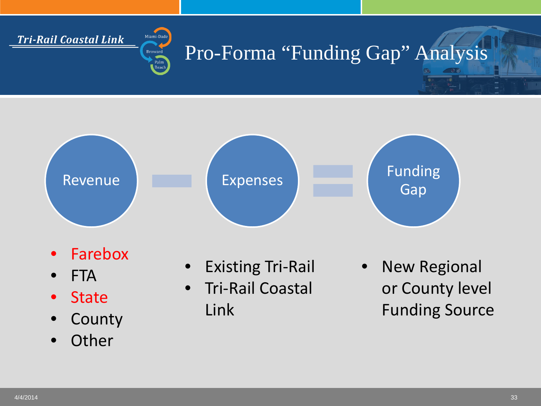



- Farebox
- FTA
- State
- County
- **Other**
- **Existing Tri-Rail**
- Tri-Rail Coastal Link

• New Regional or County level Funding Source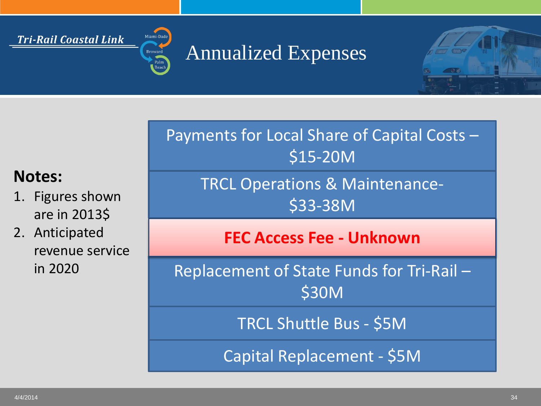

# Annualized Expenses



### Payments for Local Share of Capital Costs – \$15-20M

### **Notes:**

- 1. Figures shown are in 2013\$
- 2. Anticipated revenue service in 2020

TRCL Operations & Maintenance- \$33-38M

**FEC Access Fee - Unknown**

Replacement of State Funds for Tri-Rail – \$30M

TRCL Shuttle Bus - \$5M

Capital Replacement - \$5M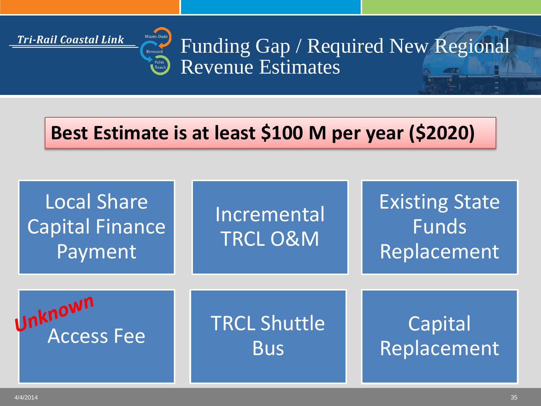

Funding Gap / Required New Regional Revenue Estimates

# **Best Estimate is at least \$100 M per year (\$2020)**

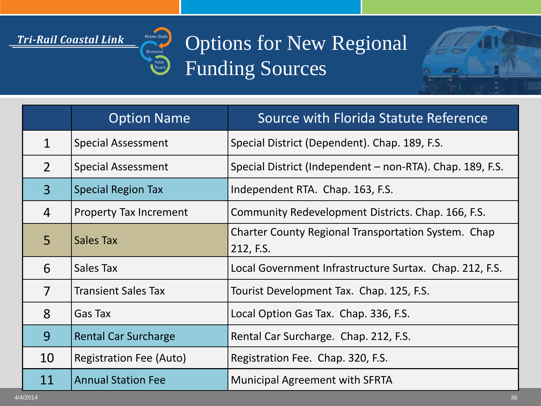

Options for New Regional Funding Sources



|                | <b>Option Name</b>             | Source with Florida Statute Reference                            |
|----------------|--------------------------------|------------------------------------------------------------------|
| $\mathbf 1$    | <b>Special Assessment</b>      | Special District (Dependent). Chap. 189, F.S.                    |
| 2 <sup>1</sup> | <b>Special Assessment</b>      | Special District (Independent – non-RTA). Chap. 189, F.S.        |
| $\overline{3}$ | <b>Special Region Tax</b>      | Independent RTA. Chap. 163, F.S.                                 |
| $\overline{4}$ | <b>Property Tax Increment</b>  | Community Redevelopment Districts. Chap. 166, F.S.               |
| 5              | Sales Tax                      | Charter County Regional Transportation System. Chap<br>212, F.S. |
| 6              | Sales Tax                      | Local Government Infrastructure Surtax. Chap. 212, F.S.          |
| $\overline{7}$ | <b>Transient Sales Tax</b>     | Tourist Development Tax. Chap. 125, F.S.                         |
| 8              | Gas Tax                        | Local Option Gas Tax. Chap. 336, F.S.                            |
| 9              | <b>Rental Car Surcharge</b>    | Rental Car Surcharge. Chap. 212, F.S.                            |
| 10             | <b>Registration Fee (Auto)</b> | Registration Fee. Chap. 320, F.S.                                |
| 11             | <b>Annual Station Fee</b>      | <b>Municipal Agreement with SFRTA</b>                            |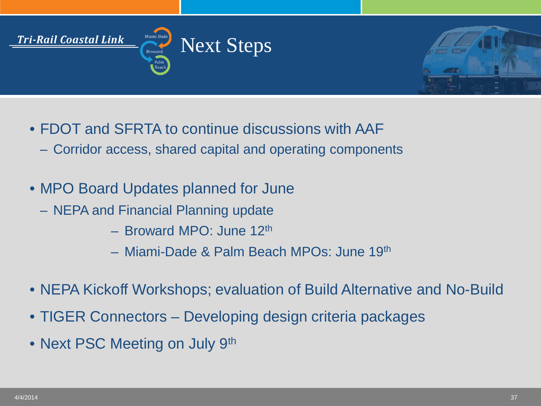



- FDOT and SFRTA to continue discussions with AAF
	- Corridor access, shared capital and operating components
- MPO Board Updates planned for June
	- NEPA and Financial Planning update
		- Broward MPO: June 12th
		- Miami-Dade & Palm Beach MPOs: June 19th
- NEPA Kickoff Workshops; evaluation of Build Alternative and No-Build
- TIGER Connectors Developing design criteria packages
- Next PSC Meeting on July 9th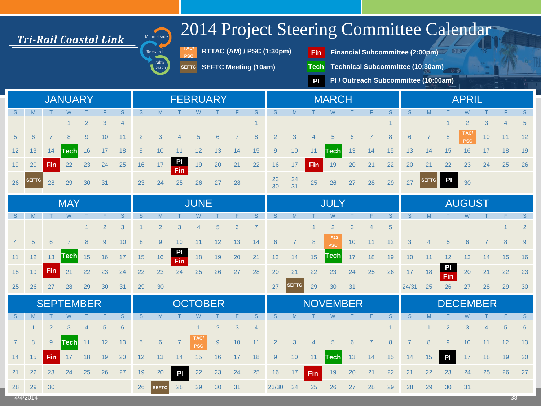

# 2014 Project Steering Committee Calendar

**TAC/ PSC RTTAC (AM) / PSC (1:30pm)** 

**SEFTC** Meeting (10am) **Tech** 

- **Fin Financial Subcommittee (2:00pm)**
- **SEFTC Meeting (10am) Technical Subcommittee (10:30am)**

**PI PI / Outreach Subcommittee (10:00am)**

 $\overline{a}$ 

|              |              |            | <b>JANUARY</b> |                |                |                | <b>FEBRUARY</b> |                |           |    |    |    |              | <b>MARCH</b>    |                 |                |                          |    |                |               |                | <b>APRIL</b> |                |                          |    |                |                |  |
|--------------|--------------|------------|----------------|----------------|----------------|----------------|-----------------|----------------|-----------|----|----|----|--------------|-----------------|-----------------|----------------|--------------------------|----|----------------|---------------|----------------|--------------|----------------|--------------------------|----|----------------|----------------|--|
| <sub>S</sub> |              |            |                |                |                | S.             | S               |                |           |    |    |    | S.           | S               |                 |                |                          |    |                | S             | S              | M            |                |                          |    |                | S              |  |
|              |              |            |                | $\overline{2}$ | 3              | $\overline{4}$ |                 |                |           |    |    |    |              |                 |                 |                |                          |    |                | 1             |                |              |                | $\overline{2}$           | 3  | $\overline{4}$ | $5\phantom{1}$ |  |
| 5            | 6            |            |                | 9              | 10             | 11             | $\overline{2}$  | 3              | 4         | 5  | 6  | 7  | 8            | $\overline{2}$  | 3               | $\overline{4}$ | 5                        | 6  | $\overline{7}$ | 8             | $6\phantom{1}$ |              | 8              | <b>TAC</b><br><b>PSC</b> | 10 | 11             | 12             |  |
| 12           | 13           | 14         | Tech           | 16             | 17             | 18             | 9               | 10             | 11        | 12 | 13 | 14 | 15           | 9               | 10              | 11             | Tech                     | 13 | 14             | 15            | 13             | 14           | 15             | 16                       | 17 | 18             | 19             |  |
| 19           | 20           | <b>Fin</b> | 22             | 23             | 24             | 25             | 16              | 17             | P1<br>Fin | 19 | 20 | 21 | 22           | 16              | 17              | Fin            | 19                       | 20 | 21             | 22            | 20             | 21           | 22             | 23                       | 24 | 25             | 26             |  |
| 26           | <b>SEFTC</b> | 28         | 29             | 30             | 31             |                | 23              | 24             | 25        | 26 | 27 | 28 |              | $\frac{23}{30}$ | $\frac{24}{31}$ | 25             | 26                       | 27 | 28             | 29            | 27             | <b>SEFTC</b> | P <sub>1</sub> | 30                       |    |                |                |  |
|              |              |            | <b>MAY</b>     |                |                |                | <b>JUNE</b>     |                |           |    |    |    | <b>JULY</b>  |                 |                 |                |                          |    |                | <b>AUGUST</b> |                |              |                |                          |    |                |                |  |
| <sub>S</sub> |              |            |                |                |                | S.             | S               |                |           |    |    |    | <sub>S</sub> | S               |                 |                |                          |    |                | S             | S              | M            |                |                          |    |                | S              |  |
|              |              |            |                |                | $\overline{2}$ | 3              |                 | $\overline{2}$ | 3         | Δ  | 5  | 6  |              |                 |                 |                | $\overline{2}$           | 3  | 4              | 5             |                |              |                |                          |    |                | $\overline{2}$ |  |
|              | 5            | 6          |                | 8              | 9              | 10             | 8               | 9              | 10        | 11 | 12 | 13 | 14           | 6               | $\overline{7}$  | 8              | <b>TAC</b><br><b>PSC</b> | 10 | 11             | 12            | 3              |              | 5              | 6                        |    | 8              | 9              |  |
| 11           | 12           | 13         | Tech           | 15             | 16             | 17             | 15              | 16             | P1<br>Fin | 18 | 19 | 20 | 21           | 13              | 14              | 15             | <b>Tech</b>              | 17 | 18             | 19            | 10             | 11           | 12             | 13                       | 14 | 15             | 16             |  |
| 18           | 19           | <b>Fin</b> | 21             | 22             | 23             | 24             | 22              | 23             | 24        | 25 | 26 | 27 | 28           | 20              | 21              | 22             | 23                       | 24 | 25             | 26            | 17             | 18           | P1<br>Fin      | 20                       | 21 | 22             | 23             |  |
| 25           | 26           | 27         | 28             | 29             | 30             | 31             | 29              | 30             |           |    |    |    |              | 27              | <b>SEFTC</b>    | 29             | 30                       | 31 |                |               | 24/31          | 25           | 26             | 27                       | 28 | 29             | 30             |  |

| SEPTEMBER |          |             |  |         |  |  |    |                                                                                                    |  |                             |  |  |  |  |  |  |                                        |  |  |  |  |  |                         | <b>DECEMBER</b> |  |    |  |  |  |  |  |
|-----------|----------|-------------|--|---------|--|--|----|----------------------------------------------------------------------------------------------------|--|-----------------------------|--|--|--|--|--|--|----------------------------------------|--|--|--|--|--|-------------------------|-----------------|--|----|--|--|--|--|--|
| S         |          |             |  |         |  |  |    | MTWITFISSMITWITFISSMITWITFISSMITWITFIS                                                             |  |                             |  |  |  |  |  |  |                                        |  |  |  |  |  |                         |                 |  |    |  |  |  |  |  |
|           |          | $1 \quad 2$ |  | 3 4 5 6 |  |  |    |                                                                                                    |  | $1 \quad 2 \quad 3 \quad 4$ |  |  |  |  |  |  |                                        |  |  |  |  |  | $1 \t2 \t3 \t4 \t5 \t6$ |                 |  |    |  |  |  |  |  |
|           |          |             |  |         |  |  |    | 7 8 9 <mark>Tech</mark> 11 12 13 5 6 7 <b>TAC/</b> 9 10 11 2 3 4 5 6 7 8 7 8 9 10 11 12 13         |  |                             |  |  |  |  |  |  |                                        |  |  |  |  |  |                         |                 |  |    |  |  |  |  |  |
|           | $14$ 15  |             |  |         |  |  |    | Fin 17 18 19 20 12 13 14 15 16 17 18 9 10 11 <mark>Tech</mark> 13 14 15 14 15 <b>P</b> 17 18 19 20 |  |                             |  |  |  |  |  |  |                                        |  |  |  |  |  |                         |                 |  |    |  |  |  |  |  |
|           |          |             |  |         |  |  |    | 21 22 23 24 25 26 27 19 20 21 23 24 25 16 17 <b>Fin</b> 19 20 21 22 21 22 23 24 25 26 27           |  |                             |  |  |  |  |  |  |                                        |  |  |  |  |  |                         |                 |  |    |  |  |  |  |  |
|           | 28 29 30 |             |  |         |  |  | 26 | <b>SEFTC</b>                                                                                       |  |                             |  |  |  |  |  |  | 28 29 30 31 23/30 24 25 26 27 28 29 28 |  |  |  |  |  | $29$ 30 31              |                 |  |    |  |  |  |  |  |
|           | 4/4/2014 |             |  |         |  |  |    |                                                                                                    |  |                             |  |  |  |  |  |  |                                        |  |  |  |  |  |                         |                 |  | 38 |  |  |  |  |  |